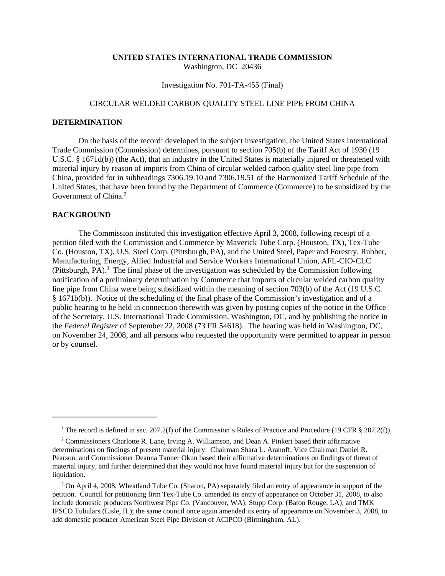## **UNITED STATES INTERNATIONAL TRADE COMMISSION** Washington, DC 20436

Investigation No. 701-TA-455 (Final)

## CIRCULAR WELDED CARBON QUALITY STEEL LINE PIPE FROM CHINA

## **DETERMINATION**

On the basis of the record<sup>1</sup> developed in the subject investigation, the United States International Trade Commission (Commission) determines, pursuant to section 705(b) of the Tariff Act of 1930 (19 U.S.C. § 1671d(b)) (the Act), that an industry in the United States is materially injured or threatened with material injury by reason of imports from China of circular welded carbon quality steel line pipe from China, provided for in subheadings 7306.19.10 and 7306.19.51 of the Harmonized Tariff Schedule of the United States, that have been found by the Department of Commerce (Commerce) to be subsidized by the Government of China.<sup>2</sup>

## **BACKGROUND**

The Commission instituted this investigation effective April 3, 2008, following receipt of a petition filed with the Commission and Commerce by Maverick Tube Corp. (Houston, TX), Tex-Tube Co. (Houston, TX), U.S. Steel Corp. (Pittsburgh, PA), and the United Steel, Paper and Forestry, Rubber, Manufacturing, Energy, Allied Industrial and Service Workers International Union, AFL-CIO-CLC (Pittsburgh, PA). $3$  The final phase of the investigation was scheduled by the Commission following notification of a preliminary determination by Commerce that imports of circular welded carbon quality line pipe from China were being subsidized within the meaning of section 703(b) of the Act (19 U.S.C. § 1671b(b)). Notice of the scheduling of the final phase of the Commission's investigation and of a public hearing to be held in connection therewith was given by posting copies of the notice in the Office of the Secretary, U.S. International Trade Commission, Washington, DC, and by publishing the notice in the *Federal Register* of September 22, 2008 (73 FR 54618). The hearing was held in Washington, DC, on November 24, 2008, and all persons who requested the opportunity were permitted to appear in person or by counsel.

<sup>&</sup>lt;sup>1</sup> The record is defined in sec. 207.2(f) of the Commission's Rules of Practice and Procedure (19 CFR § 207.2(f)).

<sup>&</sup>lt;sup>2</sup> Commissioners Charlotte R. Lane, Irving A. Williamson, and Dean A. Pinkert based their affirmative determinations on findings of present material injury. Chairman Shara L. Aranoff, Vice Chairman Daniel R. Pearson, and Commissioner Deanna Tanner Okun based their affirmative determinations on findings of threat of material injury, and further determined that they would not have found material injury but for the suspension of liquidation.

<sup>&</sup>lt;sup>3</sup> On April 4, 2008, Wheatland Tube Co. (Sharon, PA) separately filed an entry of appearance in support of the petition. Council for petitioning firm Tex-Tube Co. amended its entry of appearance on October 31, 2008, to also include domestic producers Northwest Pipe Co. (Vancouver, WA); Stupp Corp. (Baton Rouge, LA); and TMK IPSCO Tubulars (Lisle, IL); the same council once again amended its entry of appearance on November 3, 2008, to add domestic producer American Steel Pipe Division of ACIPCO (Birmingham, AL).